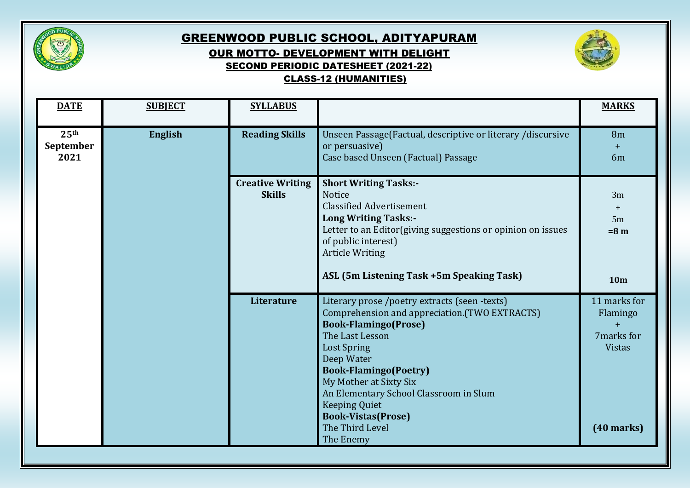

## GREENWOOD PUBLIC SCHOOL, ADITYAPURAM OUR MOTTO- DEVELOPMENT WITH DELIGHT SECOND PERIODIC DATESHEET (2021-22) CLASS-12 (HUMANITIES)



| <b>DATE</b>                           | <b>SUBJECT</b> | <b>SYLLABUS</b>                          |                                                                                                                                                                                                                                                                                                                                                                               | <b>MARKS</b>                                                                   |
|---------------------------------------|----------------|------------------------------------------|-------------------------------------------------------------------------------------------------------------------------------------------------------------------------------------------------------------------------------------------------------------------------------------------------------------------------------------------------------------------------------|--------------------------------------------------------------------------------|
| 25 <sup>th</sup><br>September<br>2021 | <b>English</b> | <b>Reading Skills</b>                    | Unseen Passage(Factual, descriptive or literary /discursive<br>or persuasive)<br>Case based Unseen (Factual) Passage                                                                                                                                                                                                                                                          | 8 <sub>m</sub><br>$+$<br>6 <sub>m</sub>                                        |
|                                       |                | <b>Creative Writing</b><br><b>Skills</b> | <b>Short Writing Tasks:-</b><br><b>Notice</b><br><b>Classified Advertisement</b><br><b>Long Writing Tasks:-</b><br>Letter to an Editor (giving suggestions or opinion on issues<br>of public interest)<br><b>Article Writing</b><br>ASL (5m Listening Task +5m Speaking Task)                                                                                                 | 3m<br>$+$<br>5m<br>$=8 m$<br>10 <sub>m</sub>                                   |
|                                       |                | Literature                               | Literary prose /poetry extracts (seen -texts)<br>Comprehension and appreciation.(TWO EXTRACTS)<br><b>Book-Flamingo(Prose)</b><br>The Last Lesson<br><b>Lost Spring</b><br>Deep Water<br><b>Book-Flamingo(Poetry)</b><br>My Mother at Sixty Six<br>An Elementary School Classroom in Slum<br><b>Keeping Quiet</b><br><b>Book-Vistas(Prose)</b><br>The Third Level<br>The Enemy | 11 marks for<br>Flamingo<br>$+$<br>7marks for<br><b>Vistas</b><br>$(40$ marks) |